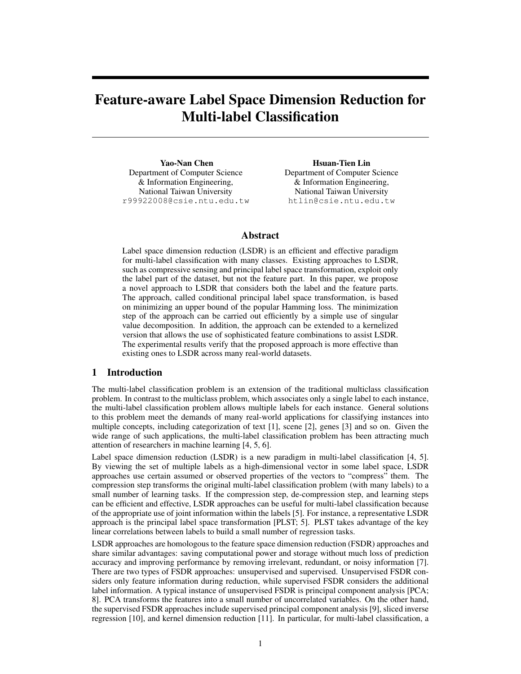# Feature-aware Label Space Dimension Reduction for Multi-label Classification

Yao-Nan Chen Department of Computer Science & Information Engineering, National Taiwan University r99922008@csie.ntu.edu.tw

Hsuan-Tien Lin Department of Computer Science & Information Engineering, National Taiwan University htlin@csie.ntu.edu.tw

## Abstract

Label space dimension reduction (LSDR) is an efficient and effective paradigm for multi-label classification with many classes. Existing approaches to LSDR, such as compressive sensing and principal label space transformation, exploit only the label part of the dataset, but not the feature part. In this paper, we propose a novel approach to LSDR that considers both the label and the feature parts. The approach, called conditional principal label space transformation, is based on minimizing an upper bound of the popular Hamming loss. The minimization step of the approach can be carried out efficiently by a simple use of singular value decomposition. In addition, the approach can be extended to a kernelized version that allows the use of sophisticated feature combinations to assist LSDR. The experimental results verify that the proposed approach is more effective than existing ones to LSDR across many real-world datasets.

## 1 Introduction

The multi-label classification problem is an extension of the traditional multiclass classification problem. In contrast to the multiclass problem, which associates only a single label to each instance, the multi-label classification problem allows multiple labels for each instance. General solutions to this problem meet the demands of many real-world applications for classifying instances into multiple concepts, including categorization of text [1], scene [2], genes [3] and so on. Given the wide range of such applications, the multi-label classification problem has been attracting much attention of researchers in machine learning [4, 5, 6].

Label space dimension reduction (LSDR) is a new paradigm in multi-label classification [4, 5]. By viewing the set of multiple labels as a high-dimensional vector in some label space, LSDR approaches use certain assumed or observed properties of the vectors to "compress" them. The compression step transforms the original multi-label classification problem (with many labels) to a small number of learning tasks. If the compression step, de-compression step, and learning steps can be efficient and effective, LSDR approaches can be useful for multi-label classification because of the appropriate use of joint information within the labels [5]. For instance, a representative LSDR approach is the principal label space transformation [PLST; 5]. PLST takes advantage of the key linear correlations between labels to build a small number of regression tasks.

LSDR approaches are homologous to the feature space dimension reduction (FSDR) approaches and share similar advantages: saving computational power and storage without much loss of prediction accuracy and improving performance by removing irrelevant, redundant, or noisy information [7]. There are two types of FSDR approaches: unsupervised and supervised. Unsupervised FSDR considers only feature information during reduction, while supervised FSDR considers the additional label information. A typical instance of unsupervised FSDR is principal component analysis [PCA; 8]. PCA transforms the features into a small number of uncorrelated variables. On the other hand, the supervised FSDR approaches include supervised principal component analysis [9], sliced inverse regression [10], and kernel dimension reduction [11]. In particular, for multi-label classification, a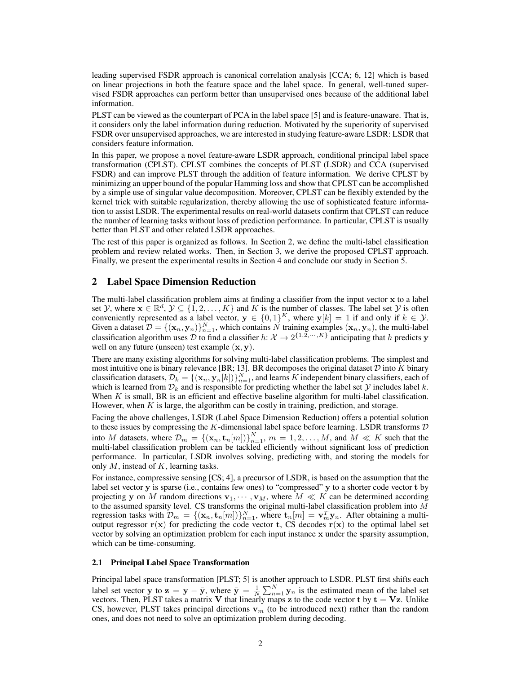leading supervised FSDR approach is canonical correlation analysis [CCA; 6, 12] which is based on linear projections in both the feature space and the label space. In general, well-tuned supervised FSDR approaches can perform better than unsupervised ones because of the additional label information.

PLST can be viewed as the counterpart of PCA in the label space [5] and is feature-unaware. That is, it considers only the label information during reduction. Motivated by the superiority of supervised FSDR over unsupervised approaches, we are interested in studying feature-aware LSDR: LSDR that considers feature information.

In this paper, we propose a novel feature-aware LSDR approach, conditional principal label space transformation (CPLST). CPLST combines the concepts of PLST (LSDR) and CCA (supervised FSDR) and can improve PLST through the addition of feature information. We derive CPLST by minimizing an upper bound of the popular Hamming loss and show that CPLST can be accomplished by a simple use of singular value decomposition. Moreover, CPLST can be flexibly extended by the kernel trick with suitable regularization, thereby allowing the use of sophisticated feature information to assist LSDR. The experimental results on real-world datasets confirm that CPLST can reduce the number of learning tasks without loss of prediction performance. In particular, CPLST is usually better than PLST and other related LSDR approaches.

The rest of this paper is organized as follows. In Section 2, we define the multi-label classification problem and review related works. Then, in Section 3, we derive the proposed CPLST approach. Finally, we present the experimental results in Section 4 and conclude our study in Section 5.

## 2 Label Space Dimension Reduction

The multi-label classification problem aims at finding a classifier from the input vector x to a label set Y, where  $\mathbf{x} \in \mathbb{R}^d$ ,  $\mathcal{Y} \subseteq \{1, 2, ..., K\}$  and K is the number of classes. The label set Y is often conveniently represented as a label vector,  $y \in \{0,1\}^K$ , where  $y[k] = 1$  if and only if  $k \in \mathcal{Y}$ . Given a dataset  $\mathcal{D} = \{(\mathbf{x}_n, \mathbf{y}_n)\}_{n=1}^N$ , which contains  $N$  training examples  $(\mathbf{x}_n, \mathbf{y}_n)$ , the multi-label classification algorithm uses D to find a classifier h:  $\mathcal{X} \to 2^{\{1,2,\cdots,K\}}$  anticipating that h predicts y well on any future (unseen) test example  $(x, y)$ .

There are many existing algorithms for solving multi-label classification problems. The simplest and most intuitive one is binary relevance [BR; 13]. BR decomposes the original dataset  $D$  into K binary classification datasets,  $\mathcal{D}_k = \{(\mathbf{x}_n, \mathbf{y}_n[k])\}_{n=1}^N$ , and learns  $K$  independent binary classifiers, each of which is learned from  $\mathcal{D}_k$  and is responsible for predicting whether the label set  $\mathcal Y$  includes label k. When  $K$  is small, BR is an efficient and effective baseline algorithm for multi-label classification. However, when  $K$  is large, the algorithm can be costly in training, prediction, and storage.

Facing the above challenges, LSDR (Label Space Dimension Reduction) offers a potential solution to these issues by compressing the K-dimensional label space before learning. LSDR transforms  $D$ into M datasets, where  $\mathcal{D}_m = \{(\mathbf{x}_n, \mathbf{t}_n[m])\}_{n=1}^N$ ,  $m = 1, 2, ..., M$ , and  $M \ll K$  such that the multi-label classification problem can be tackled efficiently without significant loss of prediction performance. In particular, LSDR involves solving, predicting with, and storing the models for only  $M$ , instead of  $K$ , learning tasks.

For instance, compressive sensing [CS; 4], a precursor of LSDR, is based on the assumption that the label set vector y is sparse (i.e., contains few ones) to "compressed" y to a shorter code vector t by projecting y on M random directions  $\mathbf{v}_1, \dots, \mathbf{v}_M$ , where  $M \ll K$  can be determined according to the assumed sparsity level. CS transforms the original multi-label classification problem into M regression tasks with  $\mathcal{D}_m = \{(\mathbf{x}_n, \mathbf{t}_n[m])\}_{n=1}^N$ , where  $\mathbf{t}_n[m] = \mathbf{v}_m^T \mathbf{y}_n$ . After obtaining a multioutput regressor  $r(x)$  for predicting the code vector t, CS decodes  $r(x)$  to the optimal label set vector by solving an optimization problem for each input instance x under the sparsity assumption, which can be time-consuming.

### 2.1 Principal Label Space Transformation

Principal label space transformation [PLST; 5] is another approach to LSDR. PLST first shifts each label set vector y to  $z = y - \bar{y}$ , where  $\bar{y} = \frac{1}{N} \sum_{n=1}^{N} y_n$  is the estimated mean of the label set vectors. Then, PLST takes a matrix V that linearly maps z to the code vector t by  $t = Vz$ . Unlike CS, however, PLST takes principal directions  $v_m$  (to be introduced next) rather than the random ones, and does not need to solve an optimization problem during decoding.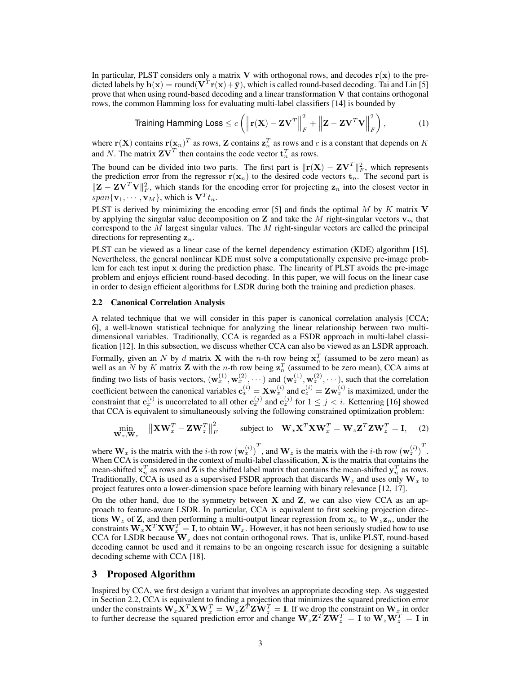In particular, PLST considers only a matrix V with orthogonal rows, and decodes  $r(x)$  to the predicted labels by  $h(x) = \text{round}(V^T r(x) + \bar{y})$ , which is called round-based decoding. Tai and Lin [5] prove that when using round-based decoding and a linear transformation  $V$  that contains orthogonal rows, the common Hamming loss for evaluating multi-label classifiers [14] is bounded by

Training Hamming Loss 
$$
\leq c \left( \left\| \mathbf{r}(\mathbf{X}) - \mathbf{Z} \mathbf{V}^T \right\|_F^2 + \left\| \mathbf{Z} - \mathbf{Z} \mathbf{V}^T \mathbf{V} \right\|_F^2 \right),
$$
 (1)

where  $\mathbf{r}(\mathbf{X})$  contains  $\mathbf{r}(\mathbf{x}_n)^T$  as rows, Z contains  $\mathbf{z}_n^T$  as rows and c is a constant that depends on K and N. The matrix  $\mathbf{ZV}^T$  then contains the code vector  $\mathbf{t}_n^T$  as rows.

The bound can be divided into two parts. The first part is  $\|\mathbf{r}(\mathbf{X}) - \mathbf{Z}\mathbf{V}^T\|_F^2$ , which represents the prediction error from the regressor  $r(x_n)$  to the desired code vectors  $t_n$ . The second part is  $||Z - ZV^T V||_F^2$ , which stands for the encoding error for projecting  $z_n$  into the closest vector in  $span{\mathbf{v}_1,\cdots,\mathbf{v}_M}$ , which is  $\mathbf{V}^T t_n$ .

PLST is derived by minimizing the encoding error [5] and finds the optimal  $M$  by  $K$  matrix  $V$ by applying the singular value decomposition on Z and take the M right-singular vectors  $v_m$  that correspond to the  $M$  largest singular values. The  $M$  right-singular vectors are called the principal directions for representing  $z_n$ .

PLST can be viewed as a linear case of the kernel dependency estimation (KDE) algorithm [15]. Nevertheless, the general nonlinear KDE must solve a computationally expensive pre-image problem for each test input x during the prediction phase. The linearity of PLST avoids the pre-image problem and enjoys efficient round-based decoding. In this paper, we will focus on the linear case in order to design efficient algorithms for LSDR during both the training and prediction phases.

#### 2.2 Canonical Correlation Analysis

A related technique that we will consider in this paper is canonical correlation analysis [CCA; 6], a well-known statistical technique for analyzing the linear relationship between two multidimensional variables. Traditionally, CCA is regarded as a FSDR approach in multi-label classification [12]. In this subsection, we discuss whether CCA can also be viewed as an LSDR approach. Formally, given an N by d matrix **X** with the n-th row being  $x_n^T$  (assumed to be zero mean) as well as an N by K matrix **Z** with the *n*-th row being  $z_n^T$  (assumed to be zero mean), CCA aims at finding two lists of basis vectors,  $(\mathbf{w}_x^{(1)}, \mathbf{w}_x^{(2)}, \cdots)$  and  $(\mathbf{w}_z^{(1)}, \mathbf{w}_z^{(2)}, \cdots)$ , such that the correlation coefficient between the canonical variables  $c_x^{(i)} = Xw_x^{(i)}$  and  $c_z^{(i)} = Zw_z^{(i)}$  is maximized, under the constraint that  $c_x^{(i)}$  is uncorrelated to all other  $c_x^{(j)}$  and  $c_z^{(j)}$  for  $1 \le j < i$ . Kettenring [16] showed that CCA is equivalent to simultaneously solving the following constrained optimization problem:

$$
\min_{\mathbf{W}_x, \mathbf{W}_z} \quad \left\| \mathbf{X} \mathbf{W}_x^T - \mathbf{Z} \mathbf{W}_z^T \right\|_F^2 \qquad \text{subject to} \quad \mathbf{W}_x \mathbf{X}^T \mathbf{X} \mathbf{W}_x^T = \mathbf{W}_z \mathbf{Z}^T \mathbf{Z} \mathbf{W}_z^T = \mathbf{I}, \tag{2}
$$

where  $W_x$  is the matrix with the *i*-th row  $(w_x^{(i)})^T$ , and  $W_z$  is the matrix with the *i*-th row  $(w_z^{(i)})^T$ . When CCA is considered in the context of multi-label classification, X is the matrix that contains the mean-shifted  $x_n^T$  as rows and **Z** is the shifted label matrix that contains the mean-shifted  $y_n^T$  as rows. Traditionally, CCA is used as a supervised FSDR approach that discards  $W_z$  and uses only  $W_x$  to project features onto a lower-dimension space before learning with binary relevance [12, 17].

On the other hand, due to the symmetry between  $X$  and  $Z$ , we can also view CCA as an approach to feature-aware LSDR. In particular, CCA is equivalent to first seeking projection directions  $W_z$  of Z, and then performing a multi-output linear regression from  $x_n$  to  $W_z z_n$ , under the constraints  $W_x X^T X W_x^T = I$ , to obtain  $W_x$ . However, it has not been seriously studied how to use CCA for LSDR because  $W_z$  does not contain orthogonal rows. That is, unlike PLST, round-based decoding cannot be used and it remains to be an ongoing research issue for designing a suitable decoding scheme with CCA [18].

## 3 Proposed Algorithm

Inspired by CCA, we first design a variant that involves an appropriate decoding step. As suggested in Section 2.2, CCA is equivalent to finding a projection that minimizes the squared prediction error under the constraints  $\mathbf{W}_{x} \mathbf{\hat{x}}^{T} \mathbf{X} \mathbf{W}_{x}^{T} = \mathbf{W}_{z} \mathbf{Z}^{T} \mathbf{Z} \mathbf{\hat{W}}_{z}^{T} = \mathbf{I}$ . If we drop the constraint on  $\mathbf{W}_{x}$  in order to further decrease the squared prediction error and change  $W_z Z^T Z W_z^T = I$  to  $W_z W_z^T = I$  in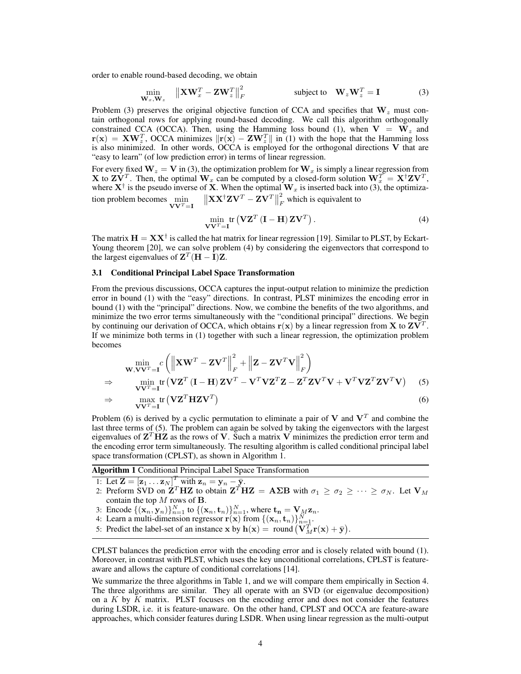order to enable round-based decoding, we obtain

$$
\min_{\mathbf{W}_x, \mathbf{W}_z} \quad \left\| \mathbf{X} \mathbf{W}_x^T - \mathbf{Z} \mathbf{W}_z^T \right\|_F^2 \qquad \text{subject to} \quad \mathbf{W}_z \mathbf{W}_z^T = \mathbf{I} \tag{3}
$$

Problem (3) preserves the original objective function of CCA and specifies that  $W_z$  must contain orthogonal rows for applying round-based decoding. We call this algorithm orthogonally constrained CCA (OCCA). Then, using the Hamming loss bound (1), when  $V = W_z$  and  $r(x) = XW_z^T$ , OCCA minimizes  $\Vert r(x) - ZW_z^T \Vert$  in (1) with the hope that the Hamming loss is also minimized. In other words, OCCA is employed for the orthogonal directions V that are "easy to learn" (of low prediction error) in terms of linear regression.

For every fixed  $W_z = V$  in (3), the optimization problem for  $W_x$  is simply a linear regression from **X** to  $\mathbf{ZV}^T$ . Then, the optimal  $\mathbf{W}_x$  can be computed by a closed-form solution  $\mathbf{W}_x^T = \mathbf{X}^\dagger \mathbf{Z} \mathbf{V}^T$ , where  $X^{\dagger}$  is the pseudo inverse of X. When the optimal  $W_x$  is inserted back into (3), the optimization problem becomes  $\min_{\mathbf{V}\mathbf{V}^T=\mathbf{I}} \quad \left\|\mathbf{X}\mathbf{X}^\dagger\mathbf{Z}\mathbf{V}^T-\mathbf{Z}\mathbf{V}^T\right\|$ 2  $\sum_F$  which is equivalent to

$$
\min_{\mathbf{V}\mathbf{V}^T=\mathbf{I}} \text{tr}\left(\mathbf{V}\mathbf{Z}^T\left(\mathbf{I}-\mathbf{H}\right)\mathbf{Z}\mathbf{V}^T\right). \tag{4}
$$

The matrix  $H = XX^{\dagger}$  is called the hat matrix for linear regression [19]. Similar to PLST, by Eckart-Young theorem [20], we can solve problem (4) by considering the eigenvectors that correspond to the largest eigenvalues of  $Z^T (H - I) Z$ .

#### 3.1 Conditional Principal Label Space Transformation

From the previous discussions, OCCA captures the input-output relation to minimize the prediction error in bound (1) with the "easy" directions. In contrast, PLST minimizes the encoding error in bound (1) with the "principal" directions. Now, we combine the benefits of the two algorithms, and minimize the two error terms simultaneously with the "conditional principal" directions. We begin by continuing our derivation of OCCA, which obtains  $r(x)$  by a linear regression from X to  $ZV^{T}$ . If we minimize both terms in (1) together with such a linear regression, the optimization problem becomes

$$
\begin{aligned}\n&\min_{\mathbf{W},\mathbf{V}\mathbf{V}^T=\mathbf{I}} c \left( \left\| \mathbf{X}\mathbf{W}^T - \mathbf{Z}\mathbf{V}^T \right\|_F^2 + \left\| \mathbf{Z} - \mathbf{Z}\mathbf{V}^T\mathbf{V} \right\|_F^2 \right) \\
&\Rightarrow \qquad \min_{\mathbf{V}\mathbf{V}^T=\mathbf{I}} tr \left( \mathbf{V}\mathbf{Z}^T (\mathbf{I} - \mathbf{H}) \mathbf{Z}\mathbf{V}^T - \mathbf{V}^T \mathbf{V}\mathbf{Z}^T \mathbf{Z} - \mathbf{Z}^T \mathbf{Z}\mathbf{V}^T \mathbf{V} + \mathbf{V}^T \mathbf{V}\mathbf{Z}^T \mathbf{Z}\mathbf{V}^T \mathbf{V} \right)\n\end{aligned} \tag{5}
$$
\n
$$
\Rightarrow \qquad \max_{\mathbf{V}\mathbf{V}^T=\mathbf{I}} tr \left( \mathbf{V}\mathbf{Z}^T \mathbf{H}\mathbf{Z}\mathbf{V}^T \right)\n\tag{6}
$$

Problem (6) is derived by a cyclic permutation to eliminate a pair of V and  $V<sup>T</sup>$  and combine the last three terms of (5). The problem can again be solved by taking the eigenvectors with the largest eigenvalues of  $Z<sup>T</sup> HZ$  as the rows of V. Such a matrix V minimizes the prediction error term and the encoding error term simultaneously. The resulting algorithm is called conditional principal label space transformation (CPLST), as shown in Algorithm 1.

Algorithm 1 Conditional Principal Label Space Transformation

- 1: Let  $\mathbf{Z} = [\mathbf{z}_1 \dots \mathbf{z}_N]^T$  with  $\mathbf{z}_n = \mathbf{y}_n \bar{\mathbf{y}}$ .
- 2: Preform SVD on  $\mathbf{Z}^T \mathbf{H} \mathbf{Z}$  to obtain  $\mathbf{Z}^T \mathbf{H} \mathbf{Z} = \mathbf{A} \Sigma \mathbf{B}$  with  $\sigma_1 \ge \sigma_2 \ge \cdots \ge \sigma_N$ . Let  $\mathbf{V}_M$ contain the top  $M$  rows of  $B$ .
- 3: Encode  $\{(\mathbf{x}_n, \mathbf{y}_n)\}_{n=1}^N$  to  $\{(\mathbf{x}_n, \mathbf{t}_n)\}_{n=1}^N$ , where  $\mathbf{t_n} = \mathbf{V}_M \mathbf{z}_n$ .
- 4: Learn a multi-dimension regressor  $\mathbf{r}(\mathbf{x})$  from  $\{(\mathbf{x}_n, \mathbf{t}_n)\}_{n=1}^N$ .

5: Predict the label-set of an instance  $\mathbf{x}$  by  $\mathbf{h}(\mathbf{x}) = \text{round}(\mathbf{V}_M^T \mathbf{r}(\mathbf{x}) + \bar{\mathbf{y}})$ .

CPLST balances the prediction error with the encoding error and is closely related with bound (1). Moreover, in contrast with PLST, which uses the key unconditional correlations, CPLST is featureaware and allows the capture of conditional correlations [14].

We summarize the three algorithms in Table 1, and we will compare them empirically in Section 4. The three algorithms are similar. They all operate with an SVD (or eigenvalue decomposition) on a  $K$  by  $K$  matrix. PLST focuses on the encoding error and does not consider the features during LSDR, i.e. it is feature-unaware. On the other hand, CPLST and OCCA are feature-aware approaches, which consider features during LSDR. When using linear regression as the multi-output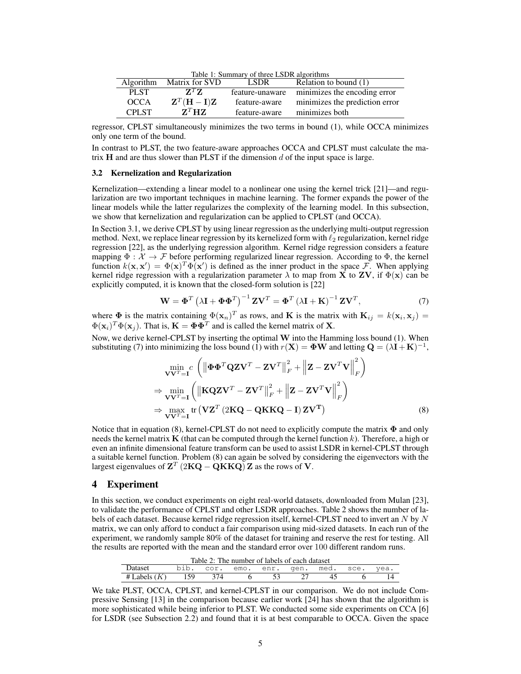Table 1: Summary of three LSDR algorithms

| <b>Algorithm</b> | Matrix for SVD                      | <b>LSDR</b>   | Relation to bound (1)                        |
|------------------|-------------------------------------|---------------|----------------------------------------------|
| <b>PLST</b>      | $Z^T Z$                             |               | feature-unaware minimizes the encoding error |
| <b>OCCA</b>      | ${\bf Z}^T({\bf H}-{\bf I}){\bf Z}$ | feature-aware | minimizes the prediction error               |
| <b>CPLST</b>     | ${\bf Z}^T{\bf H}{\bf Z}$           | feature-aware | minimizes both                               |

regressor, CPLST simultaneously minimizes the two terms in bound (1), while OCCA minimizes only one term of the bound.

In contrast to PLST, the two feature-aware approaches OCCA and CPLST must calculate the matrix  $H$  and are thus slower than PLST if the dimension  $d$  of the input space is large.

#### 3.2 Kernelization and Regularization

Kernelization—extending a linear model to a nonlinear one using the kernel trick [21]—and regularization are two important techniques in machine learning. The former expands the power of the linear models while the latter regularizes the complexity of the learning model. In this subsection, we show that kernelization and regularization can be applied to CPLST (and OCCA).

In Section 3.1, we derive CPLST by using linear regression as the underlying multi-output regression method. Next, we replace linear regression by its kernelized form with  $\ell_2$  regularization, kernel ridge regression [22], as the underlying regression algorithm. Kernel ridge regression considers a feature mapping  $\Phi : \mathcal{X} \to \mathcal{F}$  before performing regularized linear regression. According to  $\Phi$ , the kernel function  $k(x, x') = \Phi(x)^T \Phi(x')$  is defined as the inner product in the space F. When applying kernel ridge regression with a regularization parameter  $\lambda$  to map from **X** to **ZV**, if  $\Phi(\mathbf{x})$  can be explicitly computed, it is known that the closed-form solution is [22]

$$
\mathbf{W} = \mathbf{\Phi}^T \left( \lambda \mathbf{I} + \mathbf{\Phi} \mathbf{\Phi}^T \right)^{-1} \mathbf{Z} \mathbf{V}^T = \mathbf{\Phi}^T \left( \lambda \mathbf{I} + \mathbf{K} \right)^{-1} \mathbf{Z} \mathbf{V}^T, \tag{7}
$$

where  $\Phi$  is the matrix containing  $\Phi(\mathbf{x}_n)^T$  as rows, and K is the matrix with  $\mathbf{K}_{ij} = k(\mathbf{x}_i, \mathbf{x}_j) =$  $\Phi(\mathbf{x}_i)^T \Phi(\mathbf{x}_j)$ . That is,  $\mathbf{K} = \mathbf{\Phi} \mathbf{\Phi}^T$  and is called the kernel matrix of **X**.

Now, we derive kernel-CPLST by inserting the optimal W into the Hamming loss bound (1). When substituting (7) into minimizing the loss bound (1) with  $r(X) = \Phi W$  and letting  $Q = (\lambda I + K)^{-1}$ ,

$$
\min_{\mathbf{V}\mathbf{V}^T=\mathbf{I}} c \left( \left\| \mathbf{\Phi} \mathbf{\Phi}^T \mathbf{Q} \mathbf{Z} \mathbf{V}^T - \mathbf{Z} \mathbf{V}^T \right\|_F^2 + \left\| \mathbf{Z} - \mathbf{Z} \mathbf{V}^T \mathbf{V} \right\|_F^2 \right) \n\Rightarrow \min_{\mathbf{V}\mathbf{V}^T=\mathbf{I}} \left( \left\| \mathbf{K} \mathbf{Q} \mathbf{Z} \mathbf{V}^T - \mathbf{Z} \mathbf{V}^T \right\|_F^2 + \left\| \mathbf{Z} - \mathbf{Z} \mathbf{V}^T \mathbf{V} \right\|_F^2 \right) \n\Rightarrow \max_{\mathbf{V}\mathbf{V}^T=\mathbf{I}} tr \left( \mathbf{V} \mathbf{Z}^T \left( 2\mathbf{K} \mathbf{Q} - \mathbf{Q} \mathbf{K} \mathbf{K} \mathbf{Q} - \mathbf{I} \right) \mathbf{Z} \mathbf{V}^T \right) \tag{8}
$$

Notice that in equation (8), kernel-CPLST do not need to explicitly compute the matrix  $\Phi$  and only needs the kernel matrix  $\bf{K}$  (that can be computed through the kernel function k). Therefore, a high or even an infinite dimensional feature transform can be used to assist LSDR in kernel-CPLST through a suitable kernel function. Problem (8) can again be solved by considering the eigenvectors with the largest eigenvalues of  $Z^T$  (2KQ – QKKQ) Z as the rows of V.

#### 4 Experiment

In this section, we conduct experiments on eight real-world datasets, downloaded from Mulan [23], to validate the performance of CPLST and other LSDR approaches. Table 2 shows the number of labels of each dataset. Because kernel ridge regression itself, kernel-CPLST need to invert an  $N$  by  $N$ matrix, we can only afford to conduct a fair comparison using mid-sized datasets. In each run of the experiment, we randomly sample 80% of the dataset for training and reserve the rest for testing. All the results are reported with the mean and the standard error over 100 different random runs.

| Table 2: The number of labels of each dataset |                                         |     |  |  |  |  |  |  |
|-----------------------------------------------|-----------------------------------------|-----|--|--|--|--|--|--|
| <b>Dataset</b>                                | bib. cor. emo. enr. gen. med. sce. yea. |     |  |  |  |  |  |  |
| # Labels $(K)$ 159                            |                                         | 374 |  |  |  |  |  |  |

We take PLST, OCCA, CPLST, and kernel-CPLST in our comparison. We do not include Compressive Sensing [13] in the comparison because earlier work [24] has shown that the algorithm is more sophisticated while being inferior to PLST. We conducted some side experiments on CCA [6] for LSDR (see Subsection 2.2) and found that it is at best comparable to OCCA. Given the space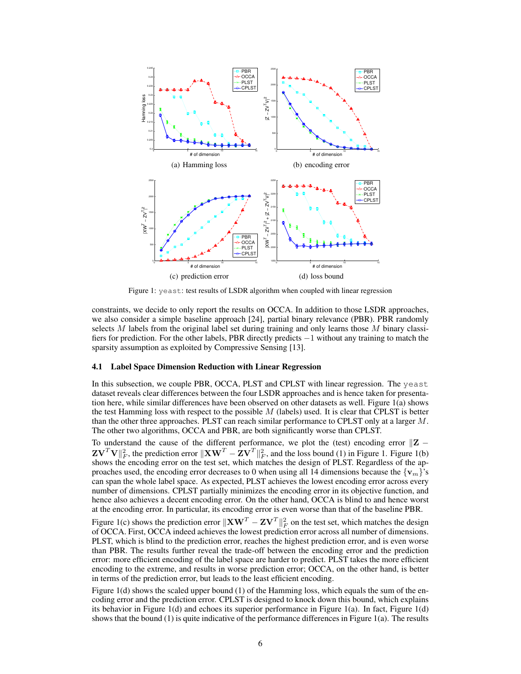

Figure 1: yeast: test results of LSDR algorithm when coupled with linear regression

constraints, we decide to only report the results on OCCA. In addition to those LSDR approaches, we also consider a simple baseline approach [24], partial binary relevance (PBR). PBR randomly selects  $M$  labels from the original label set during training and only learns those  $M$  binary classifiers for prediction. For the other labels, PBR directly predicts −1 without any training to match the sparsity assumption as exploited by Compressive Sensing [13].

#### 4.1 Label Space Dimension Reduction with Linear Regression

In this subsection, we couple PBR, OCCA, PLST and CPLST with linear regression. The yeast dataset reveals clear differences between the four LSDR approaches and is hence taken for presentation here, while similar differences have been observed on other datasets as well. Figure 1(a) shows the test Hamming loss with respect to the possible  $M$  (labels) used. It is clear that CPLST is better than the other three approaches. PLST can reach similar performance to CPLST only at a larger M. The other two algorithms, OCCA and PBR, are both significantly worse than CPLST.

To understand the cause of the different performance, we plot the (test) encoding error  $\mathbb{Z}$  −  $\mathbf{Z} \mathbf{V}^T \mathbf{V} \|_F^2$ , the prediction error  $\|\mathbf{X} \mathbf{W}^T - \mathbf{Z} \mathbf{V}^T \|_F^2$ , and the loss bound (1) in Figure 1. Figure 1(b) shows the encoding error on the test set, which matches the design of PLST. Regardless of the approaches used, the encoding error decreases to 0 when using all 14 dimensions because the  $\{v_m\}$ 's can span the whole label space. As expected, PLST achieves the lowest encoding error across every number of dimensions. CPLST partially minimizes the encoding error in its objective function, and hence also achieves a decent encoding error. On the other hand, OCCA is blind to and hence worst at the encoding error. In particular, its encoding error is even worse than that of the baseline PBR.

Figure 1(c) shows the prediction error  $\|\mathbf{X}\mathbf{W}^T - \mathbf{Z}\mathbf{V}^T\|_F^2$  on the test set, which matches the design of OCCA. First, OCCA indeed achieves the lowest prediction error across all number of dimensions. PLST, which is blind to the prediction error, reaches the highest prediction error, and is even worse than PBR. The results further reveal the trade-off between the encoding error and the prediction error: more efficient encoding of the label space are harder to predict. PLST takes the more efficient encoding to the extreme, and results in worse prediction error; OCCA, on the other hand, is better in terms of the prediction error, but leads to the least efficient encoding.

Figure 1(d) shows the scaled upper bound (1) of the Hamming loss, which equals the sum of the encoding error and the prediction error. CPLST is designed to knock down this bound, which explains its behavior in Figure 1(d) and echoes its superior performance in Figure 1(a). In fact, Figure 1(d) shows that the bound (1) is quite indicative of the performance differences in Figure 1(a). The results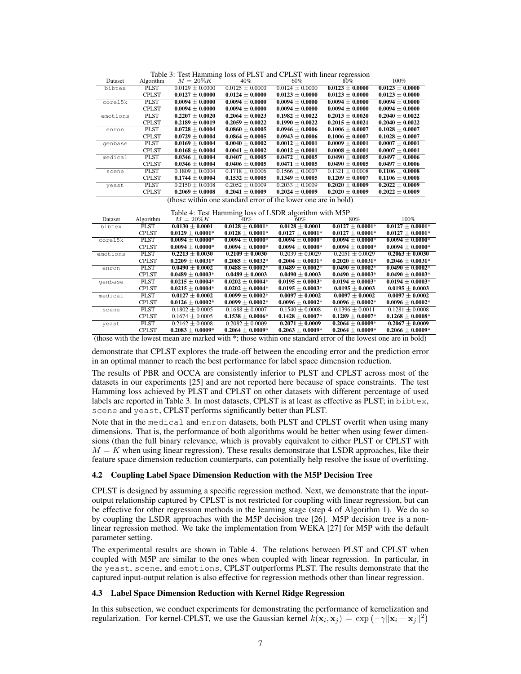|          | Table 5. Test Hallming loss of FLST and CFLST with initial regression |                     |                     |                     |                     |                     |  |
|----------|-----------------------------------------------------------------------|---------------------|---------------------|---------------------|---------------------|---------------------|--|
| Dataset  | Algorithm                                                             | $M=20\%K$           | 40%                 | 60%                 | $80\%$              | 100%                |  |
| bibtex   | <b>PLST</b>                                                           | $0.0129 \pm 0.0000$ | $0.0125 \pm 0.0000$ | $0.0124 + 0.0000$   | $0.0123 \pm 0.0000$ | $0.0123 \pm 0.0000$ |  |
|          | <b>CPLST</b>                                                          | $0.0127 \pm 0.0000$ | $0.0124 \pm 0.0000$ | $0.0123 \pm 0.0000$ | $0.0123 \pm 0.0000$ | $0.0123 \pm 0.0000$ |  |
| corel5k  | <b>PLST</b>                                                           | $0.0094 + 0.0000$   | $0.0094 + 0.0000$   | $0.0094 \pm 0.0000$ | $0.0094 \pm 0.0000$ | $0.0094 \pm 0.0000$ |  |
|          | <b>CPLST</b>                                                          | $0.0094 \pm 0.0000$ | $0.0094 \pm 0.0000$ | $0.0094 \pm 0.0000$ | $0.0094 \pm 0.0000$ | $0.0094 \pm 0.0000$ |  |
| emotions | <b>PLST</b>                                                           | $0.2207 + 0.0020$   | $0.2064 + 0.0023$   | $0.1982 + 0.0022$   | $0.2013 \pm 0.0020$ | $0.2040 \pm 0.0022$ |  |
|          | <b>CPLST</b>                                                          | $0.2189 \pm 0.0019$ | $0.2059 \pm 0.0022$ | $0.1990 \pm 0.0022$ | $0.2015 \pm 0.0021$ | $0.2040 \pm 0.0022$ |  |
| enron    | <b>PLST</b>                                                           | $0.0728 \pm 0.0004$ | $0.0860 + 0.0005$   | $0.0946 + 0.0006$   | $0.1006 + 0.0007$   | $0.1028 + 0.0007$   |  |
|          | <b>CPLST</b>                                                          | $0.0729 \pm 0.0004$ | $0.0864 \pm 0.0005$ | $0.0943 \pm 0.0006$ | $0.1006 \pm 0.0007$ | $0.1028 \pm 0.0007$ |  |
| qenbase  | <b>PLST</b>                                                           | $0.0169 + 0.0004$   | $0.0040 + 0.0002$   | $0.0012 + 0.0001$   | $0.0009 + 0.0001$   | $0.0007 \pm 0.0001$ |  |
|          | <b>CPLST</b>                                                          | $0.0168 \pm 0.0004$ | $0.0041 \pm 0.0002$ | $0.0012 \pm 0.0001$ | $0.0008 \pm 0.0001$ | $0.0007 \pm 0.0001$ |  |
| medical  | <b>PLST</b>                                                           | $0.0346 \pm 0.0004$ | $0.0407 \pm 0.0005$ | $0.0472 + 0.0005$   | $0.0490 \pm 0.0005$ | $0.0497 \pm 0.0006$ |  |
|          | <b>CPLST</b>                                                          | $0.0346 \pm 0.0004$ | $0.0406 \pm 0.0005$ | $0.0471 \pm 0.0005$ | $0.0490 \pm 0.0005$ | $0.0497 \pm 0.0006$ |  |
| scene    | PLST                                                                  | $0.1809 + 0.0004$   | $0.1718 + 0.0006$   | $0.1566 + 0.0007$   | $0.1321 + 0.0008$   | $0.1106 \pm 0.0008$ |  |
|          | <b>CPLST</b>                                                          | $0.1744 \pm 0.0004$ | $0.1532 \pm 0.0005$ | $0.1349 \pm 0.0005$ | $0.1209 \pm 0.0007$ | $0.1106 \pm 0.0008$ |  |
| yeast    | <b>PLST</b>                                                           | $0.2150 \pm 0.0008$ | $0.2052 \pm 0.0009$ | $0.2033 \pm 0.0009$ | $0.2020 \pm 0.0009$ | $0.2022 \pm 0.0009$ |  |
|          | <b>CPLST</b>                                                          | $0.2069 \pm 0.0008$ | $0.2041 \pm 0.0009$ | $0.2024 \pm 0.0009$ | $0.2020 \pm 0.0009$ | $0.2022 \pm 0.0009$ |  |
|          |                                                                       | .                   |                     |                     | .                   |                     |  |

Table 3: Test Hamming loss of PLST and CPLST with linear regression

(those within one standard error of the lower one are in bold)

Table 4: Test Hamming loss of LSDR algorithm with M5P

| Dataset  | Algorithm    | $M=20\%K$            | 40%                  | 60%                  | 80%                  | $100\%$              |
|----------|--------------|----------------------|----------------------|----------------------|----------------------|----------------------|
| bibtex   | <b>PLST</b>  | $0.0130 \pm 0.0001$  | $0.0128 \pm 0.0001*$ | $0.0128 \pm 0.0001$  | $0.0127 \pm 0.0001*$ | $0.0127 \pm 0.0001*$ |
|          | <b>CPLST</b> | $0.0129 \pm 0.0001*$ | $0.0128 \pm 0.0001*$ | $0.0127 \pm 0.0001*$ | $0.0127 \pm 0.0001*$ | $0.0127 \pm 0.0001*$ |
| corel5k  | <b>PLST</b>  | $0.0094 \pm 0.0000*$ | $0.0094 + 0.0000*$   | $0.0094 + 0.0000*$   | $0.0094 \pm 0.0000*$ | $0.0094 \pm 0.0000*$ |
|          | <b>CPLST</b> | $0.0094 \pm 0.0000*$ | $0.0094 \pm 0.0000*$ | $0.0094 \pm 0.0000*$ | $0.0094 \pm 0.0000*$ | $0.0094 \pm 0.0000*$ |
| emotions | <b>PLST</b>  | $0.2213 \pm 0.0030$  | $0.2109 + 0.0030$    | $0.2039 + 0.0029$    | $0.2051 + 0.0029$    | $0.2063 \pm 0.0030$  |
|          | <b>CPLST</b> | $0.2209 \pm 0.0031*$ | $0.2085 + 0.0032*$   | $0.2004 + 0.0031*$   | $0.2020 \pm 0.0031*$ | $0.2046 \pm 0.0031*$ |
| enron    | <b>PLST</b>  | $0.0490 \pm 0.0002$  | $0.0488 \pm 0.0002*$ | $0.0489 \pm 0.0002*$ | $0.0490 + 0.0002*$   | $0.0490 \pm 0.0002*$ |
|          | <b>CPLST</b> | $0.0489 \pm 0.0003*$ | $0.0489 \pm 0.0003$  | $0.0490 \pm 0.0003$  | $0.0490 \pm 0.0003*$ | $0.0490 \pm 0.0003*$ |
| qenbase  | <b>PLST</b>  | $0.0215 + 0.0004*$   | $0.0202 + 0.0004*$   | $0.0195 + 0.0003*$   | $0.0194 + 0.0003*$   | $0.0194 \pm 0.0003*$ |
|          | <b>CPLST</b> | $0.0215 \pm 0.0004*$ | $0.0202 \pm 0.0004*$ | $0.0195 \pm 0.0003*$ | $0.0195 \pm 0.0003$  | $0.0195 \pm 0.0003$  |
| medical  | <b>PLST</b>  | $0.0127 \pm 0.0002$  | $0.0099 + 0.0002*$   | $0.0097 + 0.0002$    | $0.0097 + 0.0002$    | $0.0097 + 0.0002$    |
|          | <b>CPLST</b> | $0.0126 \pm 0.0002*$ | $0.0099 \pm 0.0002*$ | $0.0096 \pm 0.0002*$ | $0.0096 \pm 0.0002*$ | $0.0096 \pm 0.0002*$ |
| scene    | <b>PLST</b>  | $0.1802 \pm 0.0005$  | $0.1688 \pm 0.0007$  | $0.1540 \pm 0.0008$  | $0.1396 \pm 0.0011$  | $0.1281 \pm 0.0008$  |
|          | <b>CPLST</b> | $0.1674 \pm 0.0005$  | $0.1538 \pm 0.0006*$ | $0.1428 \pm 0.0007*$ | $0.1289 \pm 0.0007*$ | $0.1268 \pm 0.0008*$ |
| yeast    | <b>PLST</b>  | $0.2162 \pm 0.0008$  | $0.2082 \pm 0.0009$  | $0.2071 \pm 0.0009$  | $0.2064 \pm 0.0009*$ | $0.2067 \pm 0.0009$  |
|          | <b>CPLST</b> | $0.2083 \pm 0.0009*$ | $0.2064 \pm 0.0009*$ | $0.2063 \pm 0.0009*$ | $0.2064 \pm 0.0009*$ | $0.2066 \pm 0.0009*$ |

(those with the lowest mean are marked with \*; those within one standard error of the lowest one are in bold)

demonstrate that CPLST explores the trade-off between the encoding error and the prediction error in an optimal manner to reach the best performance for label space dimension reduction.

The results of PBR and OCCA are consistently inferior to PLST and CPLST across most of the datasets in our experiments [25] and are not reported here because of space constraints. The test Hamming loss achieved by PLST and CPLST on other datasets with different percentage of used labels are reported in Table 3. In most datasets, CPLST is at least as effective as PLST; in bibtex, scene and yeast, CPLST performs significantly better than PLST.

Note that in the medical and enron datasets, both PLST and CPLST overfit when using many dimensions. That is, the performance of both algorithms would be better when using fewer dimensions (than the full binary relevance, which is provably equivalent to either PLST or CPLST with  $M = K$  when using linear regression). These results demonstrate that LSDR approaches, like their feature space dimension reduction counterparts, can potentially help resolve the issue of overfitting.

#### 4.2 Coupling Label Space Dimension Reduction with the M5P Decision Tree

CPLST is designed by assuming a specific regression method. Next, we demonstrate that the inputoutput relationship captured by CPLST is not restricted for coupling with linear regression, but can be effective for other regression methods in the learning stage (step 4 of Algorithm 1). We do so by coupling the LSDR approaches with the M5P decision tree [26]. M5P decision tree is a nonlinear regression method. We take the implementation from WEKA [27] for M5P with the default parameter setting.

The experimental results are shown in Table 4. The relations between PLST and CPLST when coupled with M5P are similar to the ones when coupled with linear regression. In particular, in the yeast, scene, and emotions, CPLST outperforms PLST. The results demonstrate that the captured input-output relation is also effective for regression methods other than linear regression.

### 4.3 Label Space Dimension Reduction with Kernel Ridge Regression

In this subsection, we conduct experiments for demonstrating the performance of kernelization and regularization. For kernel-CPLST, we use the Gaussian kernel  $k(\mathbf{x}_i, \mathbf{x}_j) = \exp(-\gamma ||\mathbf{x}_i - \mathbf{x}_j||^2)$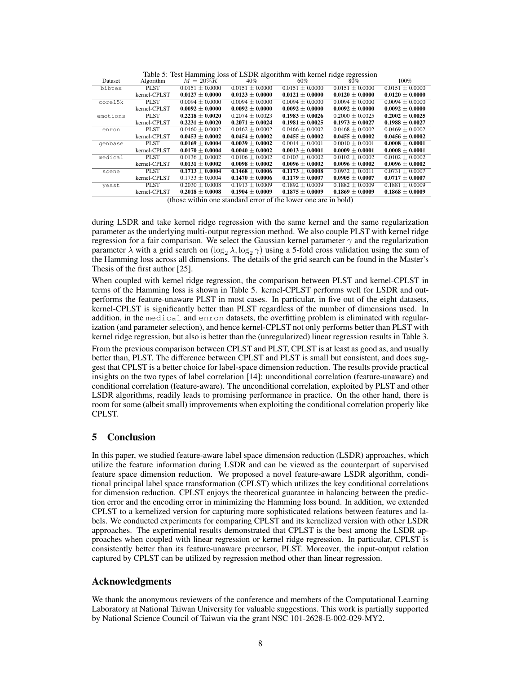|          |              | Table 5: Test Hamming loss of LSDR algorithm with kernel ridge regression |                     |                     |                     |                     |
|----------|--------------|---------------------------------------------------------------------------|---------------------|---------------------|---------------------|---------------------|
| Dataset  | Algorithm    | $M=20\%$ K                                                                | $40\%$              | 60%                 | $80\%$              | 100%                |
| bibtex   | PLST         | $0.0151 + 0.0000$                                                         | $0.0151 + 0.0000$   | $0.0151 + 0.0000$   | $0.0151 + 0.0000$   | $0.0151 \pm 0.0000$ |
|          | kernel-CPLST | $0.0127 \pm 0.0000$                                                       | $0.0123 \pm 0.0000$ | $0.0121 \pm 0.0000$ | $0.0120 \pm 0.0000$ | $0.0120 \pm 0.0000$ |
| corel5k  | <b>PLST</b>  | $0.0094 \pm 0.0000$                                                       | $0.0094 \pm 0.0000$ | $0.0094 + 0.0000$   | $0.0094 \pm 0.0000$ | $0.0094 \pm 0.0000$ |
|          | kernel-CPLST | $0.0092 \pm 0.0000$                                                       | $0.0092 \pm 0.0000$ | $0.0092 \pm 0.0000$ | $0.0092 \pm 0.0000$ | $0.0092 \pm 0.0000$ |
| emotions | <b>PLST</b>  | $0.2218 \pm 0.0020$                                                       | $0.2074 + 0.0023$   | $0.1983 + 0.0026$   | $0.2000 + 0.0025$   | $0.2002 \pm 0.0025$ |
|          | kernel-CPLST | $0.2231 \pm 0.0020$                                                       | $0.2071 \pm 0.0024$ | $0.1981 \pm 0.0025$ | $0.1973 \pm 0.0027$ | $0.1988 \pm 0.0027$ |
| enron    | <b>PLST</b>  | $0.0460 + 0.0002$                                                         | $0.0462 + 0.0002$   | $0.0466 + 0.0002$   | $0.0468 \pm 0.0002$ | $0.0469 \pm 0.0002$ |
|          | kernel-CPLST | $0.0453 \pm 0.0002$                                                       | $0.0454 \pm 0.0002$ | $0.0455 \pm 0.0002$ | $0.0455 \pm 0.0002$ | $0.0456 \pm 0.0002$ |
| qenbase  | <b>PLST</b>  | $0.0169 \pm 0.0004$                                                       | $0.0039 \pm 0.0002$ | $0.0014 \pm 0.0001$ | $0.0010 \pm 0.0001$ | $0.0008 \pm 0.0001$ |
|          | kernel-CPLST | $0.0170 \pm 0.0004$                                                       | $0.0040 \pm 0.0002$ | $0.0013 \pm 0.0001$ | $0.0009 \pm 0.0001$ | $0.0008 \pm 0.0001$ |
| medical  | PLST         | $0.0136 + 0.0002$                                                         | $0.0106 + 0.0002$   | $0.0103 + 0.0002$   | $0.0102 + 0.0002$   | $0.0102 + 0.0002$   |
|          | kernel-CPLST | $0.0131 \pm 0.0002$                                                       | $0.0098 \pm 0.0002$ | $0.0096 \pm 0.0002$ | $0.0096 \pm 0.0002$ | $0.0096 \pm 0.0002$ |
| scene    | PLST         | $0.1713 + 0.0004$                                                         | $0.1468 + 0.0006$   | $0.1173 + 0.0008$   | $0.0932 + 0.0011$   | $0.0731 \pm 0.0007$ |
|          | kernel-CPLST | $0.1733 \pm 0.0004$                                                       | $0.1470 \pm 0.0006$ | $0.1179 \pm 0.0007$ | $0.0905 \pm 0.0007$ | $0.0717 \pm 0.0007$ |
| yeast    | PLST         | $0.2030 + 0.0008$                                                         | $0.1913 + 0.0009$   | $0.1892 + 0.0009$   | $0.1882 + 0.0009$   | $0.1881 \pm 0.0009$ |
|          | kernel-CPLST | $0.2018 \pm 0.0008$                                                       | $0.1904 \pm 0.0009$ | $0.1875 \pm 0.0009$ | $0.1869 \pm 0.0009$ | $0.1868 \pm 0.0009$ |

Table 5: Test Hamming loss of LSDR algorithm with kernel ridge regression

(those within one standard error of the lower one are in bold)

during LSDR and take kernel ridge regression with the same kernel and the same regularization parameter as the underlying multi-output regression method. We also couple PLST with kernel ridge regression for a fair comparison. We select the Gaussian kernel parameter  $\gamma$  and the regularization parameter  $\lambda$  with a grid search on  $(\log_2 \lambda, \log_2 \gamma)$  using a 5-fold cross validation using the sum of the Hamming loss across all dimensions. The details of the grid search can be found in the Master's Thesis of the first author [25].

When coupled with kernel ridge regression, the comparison between PLST and kernel-CPLST in terms of the Hamming loss is shown in Table 5. kernel-CPLST performs well for LSDR and outperforms the feature-unaware PLST in most cases. In particular, in five out of the eight datasets, kernel-CPLST is significantly better than PLST regardless of the number of dimensions used. In addition, in the medical and enron datasets, the overfitting problem is eliminated with regularization (and parameter selection), and hence kernel-CPLST not only performs better than PLST with kernel ridge regression, but also is better than the (unregularized) linear regression results in Table 3.

From the previous comparison between CPLST and PLST, CPLST is at least as good as, and usually better than, PLST. The difference between CPLST and PLST is small but consistent, and does suggest that CPLST is a better choice for label-space dimension reduction. The results provide practical insights on the two types of label correlation [14]: unconditional correlation (feature-unaware) and conditional correlation (feature-aware). The unconditional correlation, exploited by PLST and other LSDR algorithms, readily leads to promising performance in practice. On the other hand, there is room for some (albeit small) improvements when exploiting the conditional correlation properly like CPLST.

## 5 Conclusion

In this paper, we studied feature-aware label space dimension reduction (LSDR) approaches, which utilize the feature information during LSDR and can be viewed as the counterpart of supervised feature space dimension reduction. We proposed a novel feature-aware LSDR algorithm, conditional principal label space transformation (CPLST) which utilizes the key conditional correlations for dimension reduction. CPLST enjoys the theoretical guarantee in balancing between the prediction error and the encoding error in minimizing the Hamming loss bound. In addition, we extended CPLST to a kernelized version for capturing more sophisticated relations between features and labels. We conducted experiments for comparing CPLST and its kernelized version with other LSDR approaches. The experimental results demonstrated that CPLST is the best among the LSDR approaches when coupled with linear regression or kernel ridge regression. In particular, CPLST is consistently better than its feature-unaware precursor, PLST. Moreover, the input-output relation captured by CPLST can be utilized by regression method other than linear regression.

## Acknowledgments

We thank the anonymous reviewers of the conference and members of the Computational Learning Laboratory at National Taiwan University for valuable suggestions. This work is partially supported by National Science Council of Taiwan via the grant NSC 101-2628-E-002-029-MY2.